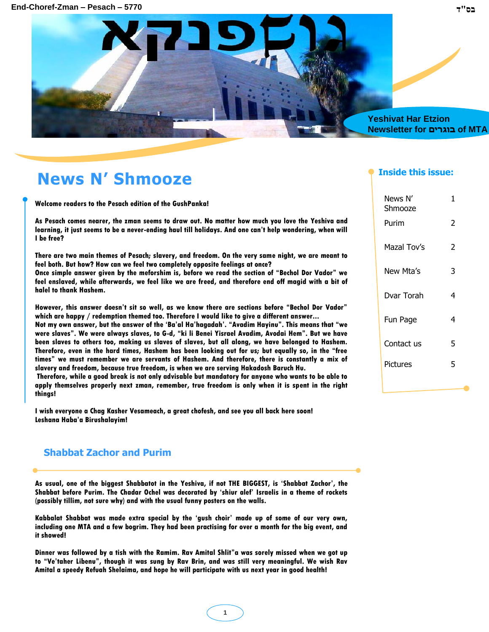

## **News N' Shmooze**

**Welcome readers to the Pesach edition of the GushPanka!**

**As Pesach comes nearer, the zman seems to draw out. No matter how much you love the Yeshiva and learning, it just seems to be a never-ending haul till holidays. And one can"t help wondering, when will I be free?** 

**There are two main themes of Pesach; slavery, and freedom. On the very same night, we are meant to feel both. But how? How can we feel two completely opposite feelings at once?**

**Once simple answer given by the meforshim is, before we read the section of "Bechol Dor Vador" we feel enslaved, while afterwards, we feel like we are freed, and therefore end off magid with a bit of halel to thank Hashem.** 

**However, this answer doesn"t sit so well, as we know there are sections before "Bechol Dor Vador" which are happy / redemption themed too. Therefore I would like to give a different answer...**

**Not my own answer, but the answer of the "Ba"al Ha"hagadah". "Avadim Hayinu". This means that "we were slaves". We were always slaves, to G-d, "ki li Benei Yisrael Avadim, Avodai Hem". But we have been slaves to others too, making us slaves of slaves, but all along, we have belonged to Hashem. Therefore, even in the hard times, Hashem has been looking out for us; but equally so, in the "free times" we must remember we are servants of Hashem. And therefore, there is constantly a mix of slavery and freedom, because true freedom, is when we are serving Hakadosh Baruch Hu.** 

**Therefore, while a good break is not only advisable but mandatory for anyone who wants to be able to apply themselves properly next zman, remember, true freedom is only when it is spent in the right things!**

**I wish everyone a Chag Kasher Vesameach, a great chofesh, and see you all back here soon! Leshana Haba"a Birushalayim!**

### **Shabbat Zachor and Purim**

**As usual, one of the biggest Shabbatot in the Yeshiva, if not THE BIGGEST, is "Shabbat Zachor", the Shabbat before Purim. The Chadar Ochel was decorated by "shiur alef" Israelis in a theme of rockets (possibly tillim, not sure why) and with the usual funny posters on the walls.** 

**Kabbalat Shabbat was made extra special by the "gush choir" made up of some of our very own, including one MTA and a few bogrim. They had been practising for over a month for the big event, and it showed!**

**Dinner was followed by a tish with the Ramim. Rav Amital Shlit"a was sorely missed when we got up to "Ve"taher Libenu", though it was sung by Rav Brin, and was still very meaningful. We wish Rav Amital a speedy Refuah Shelaima, and hope he will participate with us next year in good health!**

#### **Inside this issue:**

| News N'<br>Shmooze | 1 |
|--------------------|---|
| Purim              | 2 |
| Mazal Tov's        | 2 |
| New Mta's          | 3 |
| Dvar Torah         | 4 |
| Fun Page           | 4 |
| Contact us         | 5 |
| Pictures           | 5 |
|                    |   |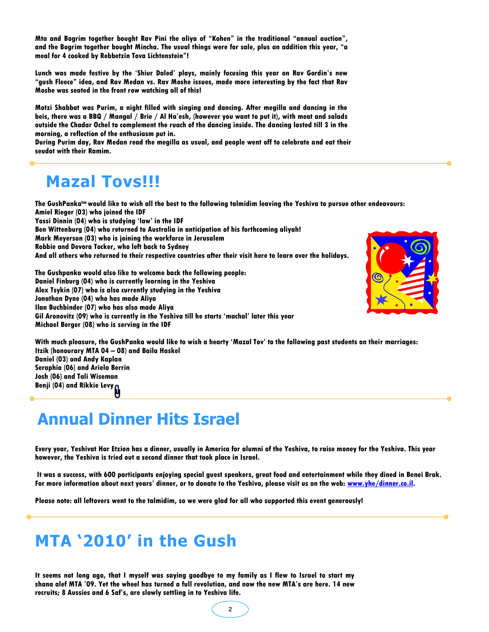**Mta and Bogrim together bought Rav Pini the aliya of "Kohen" in the traditional "annual auction", and the Bogrim together bought Mincha. The usual things were for sale, plus an addition this year, "a meal for 4 cooked by Rebbetzin Tova Lichtenstein"!**

**Lunch was made festive by the "Shiur Daled" plays, mainly focusing this year on Rav Gordin"s new "gush Fleece" idea, and Rav Medan vs. Rav Moshe issues, made more interesting by the fact that Rav Moshe was seated in the front row watching all of this!**

**Motzi Shabbat was Purim, a night filled with singing and dancing. After megilla and dancing in the beis, there was a BBQ / Mangal / Brie / Al Ha"esh, (however you want to put it), with meat and salads outside the Chadar Ochel to complement the ruach of the dancing inside. The dancing lasted till 3 in the morning, a reflection of the enthusiasm put in.**

**During Purim day, Rav Medan read the megilla as usual, and people went off to celebrate and eat their seudot with their Ramim.**

### **Mazal Tovs!!!**

**The GushPankatm would like to wish all the best to the following talmidim leaving the Yeshiva to pursue other endeavours: Amiel Rieger (03) who joined the IDF Yossi Dinnin (04) who is studying "law" in the IDF Ben Wittenburg (04) who returned to Australia in anticipation of his forthcoming aliyah! Mark Meyerson (03) who is joining the workforce in Jerusalem Robbie and Devora Tocker, who left back to Sydney And all others who returned to their respective countries after their visit here to learn over the holidays.**

**The Gushpanka would also like to welcome back the following people: Daniel Finburg (04) who is currently learning in the Yeshiva Alex Tsykin (07) who is also currently studying in the Yeshiva Jonathan Dyne (04) who has made Aliya Ilan Buchbinder (07) who has also made Aliya Gil Aronovitz (09) who is currently in the Yeshiva till he starts "machal" later this year Michael Berger (08) who is serving in the IDF**



**With much pleasure, the GushPanka would like to wish a hearty "Mazal Tov" to the following past students on their marriages: Itzik (honourary MTA 04 – 08) and Baila Haskel Daniel (03) and Andy Kaplan Seraphia (06) and Ariela Berrin Josh (06) and Tali Wiseman Benji (04) and Rikkie Levy**

## **Annual Dinner Hits Israel**

**Every year, Yeshivat Har Etzion has a dinner, usually in America for alumni of the Yeshiva, to raise money for the Yeshiva. This year however, the Yeshiva is tried out a second dinner that took place in Israel.** 

**It was a success, with 600 participants enjoying special guest speakers, great food and entertainment while they dined in Benei Brak. For more information about next years" dinner, or to donate to the Yeshiva, please visit us on the web: [www.yhe/dinner.co.il.](http://www.yhe/dinner.co.il)**

**Please note: all leftovers went to the talmidim, so we were glad for all who supported this event generously!**

# **MTA '2010' in the Gush**

**It seems not long ago, that I myself was saying goodbye to my family as I flew to Israel to start my shana alef MTA "09. Yet the wheel has turned a full revolution, and now the new MTA"s are here. 14 new recruits; 8 Aussies and 6 Saf"s, are slowly settling in to Yeshiva life.**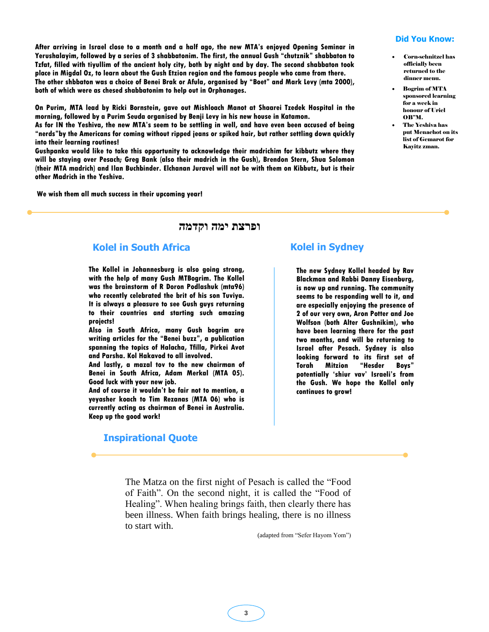**After arriving in Israel close to a month and a half ago, the new MTA"s enjoyed Opening Seminar in Yerushalayim, followed by a series of 3 shabbatonim. The first, the annual Gush "chutznik" shabbaton to Tzfat, filled with tiyullim of the ancient holy city, both by night and by day. The second shabbaton took place in Migdal Oz, to learn about the Gush Etzion region and the famous people who came from there. The other shbbaton was a choice of Benei Brak or Afula, organised by "Boet" and Mark Levy (mta 2000), both of which were as chesed shabbatonim to help out in Orphanages.** 

**On Purim, MTA lead by Ricki Bornstein, gave out Mishloach Manot at Shaarei Tzedek Hospital in the morning, followed by a Purim Seuda organised by Benji Levy in his new house in Katamon.** 

**As for IN the Yeshiva, the new MTA"s seem to be settling in well, and have even been accused of being "nerds"by the Americans for coming without ripped jeans or spiked hair, but rather settling down quickly into their learning routines!**

**Gushpanka would like to take this opportunity to acknowledge their madrichim for kibbutz where they will be staying over Pesach; Greg Bank (also their madrich in the Gush), Brendon Stern, Shua Solomon (their MTA madrich) and Ilan Buchbinder. Elchanan Juravel will not be with them on Kibbutz, but is their other Madrich in the Yeshiva.**

**We wish them all much success in their upcoming year!**

#### **ופרצת ימה וקדמה**

#### **Kolel in South Africa**

**The Kollel in Johannesburg is also going strong, with the help of many Gush MTBogrim. The Kollel was the brainstorm of R Doron Podlashuk (mta96) who recently celebrated the brit of his son Tuviya. It is always a pleasure to see Gush guys returning to their countries and starting such amazing projects!**

**Also in South Africa, many Gush bogrim are writing articles for the "Benei buzz", a publication spanning the topics of Halacha, Tfilla, Pirkei Avot and Parsha. Kol Hakavod to all involved.** 

**And lastly, a mazal tov to the new chairman of Benei in South Africa, Adam Merkal (MTA 05). Good luck with your new job.** 

**And of course it wouldn"t be fair not to mention, a yeyasher koach to Tim Rezanas (MTA 06) who is currently acting as chairman of Benei in Australia. Keep up the good work!**

#### **Inspirational Quote**

#### **Kolel in Sydney**

**The new Sydney Kollel headed by Rav Blackman and Rabbi Danny Eisenburg, is now up and running. The community seems to be responding well to it, and are especially enjoying the presence of 2 of our very own, Aron Potter and Joe Wolfson (both Alter Gushnikim), who have been learning there for the past two months, and will be returning to Israel after Pesach. Sydney is also looking forward to its first set of Torah Mitzion "Hesder Boys" potentially "shiur vav" Israeli"s from the Gush. We hope the Kollel only continues to grow!**

The Matza on the first night of Pesach is called the "Food of Faith". On the second night, it is called the "Food of Healing". When healing brings faith, then clearly there has been illness. When faith brings healing, there is no illness to start with.

(adapted from "Sefer Hayom Yom")

#### **Did You Know:**

- Corn-schnitzel has officially been returned to the dinner menu.
- Bogrim of MTA sponsored learning for a week in honour of Uriel OB"M.
- The Yeshiva has put Menachot on its list of Gemarot for Kayitz zman.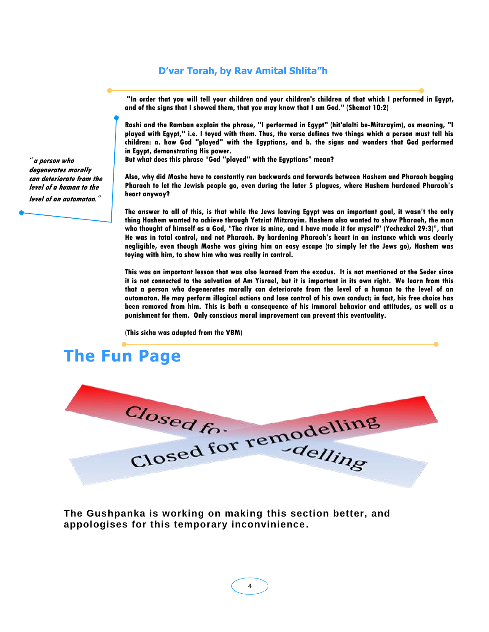### **D'var Torah, by Rav Amital Shlita"h**

**"In order that you will tell your children and your children's children of that which I performed in Egypt, and of the signs that I showed them, that you may know that I am God." (Shemot 10:2)**

**Rashi and the Ramban explain the phrase, "I performed in Egypt" (hit'alalti be-Mitzrayim), as meaning, "I played with Egypt," i.e. I toyed with them. Thus, the verse defines two things which a person must tell his children: a. how God "played" with the Egyptians, and b. the signs and wonders that God performed in Egypt, demonstrating His power.**

**But what does this phrase "God "played" with the Egyptians" mean?**

**Also, why did Moshe have to constantly run backwards and forwards between Hashem and Pharaoh begging Pharaoh to let the Jewish people go, even during the later 5 plagues, where Hashem hardened Pharaoh"s heart anyway?**

**The answer to all of this, is that while the Jews leaving Egypt was an important goal, it wasn"t the only thing Hashem wanted to achieve through Yetziat Mitzrayim. Hashem also wanted to show Pharaoh, the man who thought of himself as a God, "The river is mine, and I have made it for myself" (Yechezkel 29:3)", that He was in total control, and not Pharaoh. By hardening Pharaoh"s heart in an instance which was clearly negligible, even though Moshe was giving him an easy escape (to simply let the Jews go), Hashem was toying with him, to show him who was really in control.**

**This was an important lesson that was also learned from the exodus. It is not mentioned at the Seder since it is not connected to the salvation of Am Yisrael, but it is important in its own right. We learn from this that a person who degenerates morally can deteriorate from the level of a human to the level of an automaton. He may perform illogical actions and lose control of his own conduct; in fact, his free choice has been removed from him. This is both a consequence of his immoral behavior and attitudes, as well as a punishment for them. Only conscious moral improvement can prevent this eventuality.**

**(This sicha was adapted from the VBM)**

## **The Fun Page**



**The Gushpanka is working on making this section better, and appologises for this temporary inconvinience.**

*"***a person who degenerates morally can deteriorate from the level of a human to the** 

**level of an automaton***."*